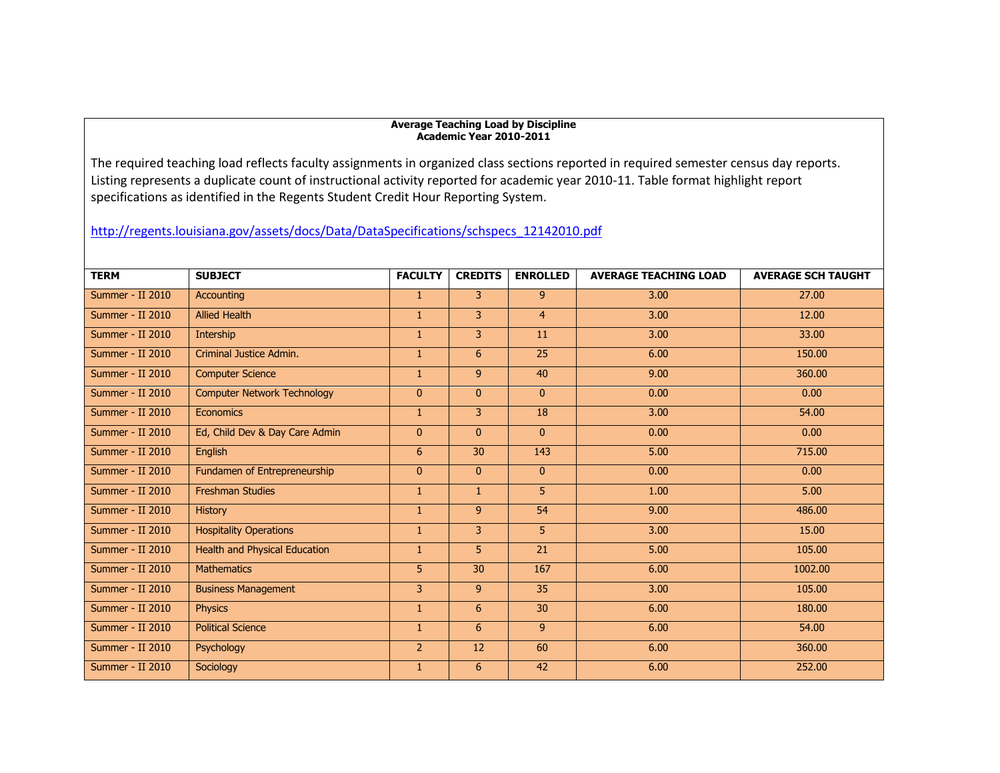## **Average Teaching Load by Discipline Academic Year 2010-2011**

The required teaching load reflects faculty assignments in organized class sections reported in required semester census day reports. Listing represents a duplicate count of instructional activity reported for academic year 2010-11. Table format highlight report specifications as identified in the Regents Student Credit Hour Reporting System.

## [http://regents.louisiana.gov/assets/docs/Data/DataSpecifications/schspecs\\_12142010.pdf](http://regents.louisiana.gov/assets/docs/Data/DataSpecifications/schspecs_12142010.pdf)

| <b>TERM</b>             | <b>SUBJECT</b>                       | <b>FACULTY</b> | <b>CREDITS</b> | <b>ENROLLED</b> | <b>AVERAGE TEACHING LOAD</b> | <b>AVERAGE SCH TAUGHT</b> |
|-------------------------|--------------------------------------|----------------|----------------|-----------------|------------------------------|---------------------------|
| Summer - II 2010        | Accounting                           | $\mathbf{1}$   | $\overline{3}$ | 9 <sup>°</sup>  | 3.00                         | 27.00                     |
| Summer - II 2010        | <b>Allied Health</b>                 | $\mathbf{1}$   | $\overline{3}$ | $\overline{4}$  | 3.00                         | 12.00                     |
| Summer - II 2010        | Intership                            | $\mathbf{1}$   | 3              | 11              | 3.00                         | 33.00                     |
| Summer - II 2010        | Criminal Justice Admin.              | $\mathbf{1}$   | 6              | 25              | 6.00                         | 150.00                    |
| Summer - II 2010        | <b>Computer Science</b>              | $\mathbf{1}$   | 9 <sup>°</sup> | 40              | 9.00                         | 360.00                    |
| Summer - II 2010        | <b>Computer Network Technology</b>   | $\mathbf{0}$   | $\mathbf{0}$   | $\overline{0}$  | 0.00                         | 0.00                      |
| Summer - II 2010        | Economics                            | $\mathbf{1}$   | 3              | 18              | 3.00                         | 54.00                     |
| <b>Summer - II 2010</b> | Ed, Child Dev & Day Care Admin       | $\Omega$       | $\mathbf{0}$   | $\overline{0}$  | 0.00                         | 0.00                      |
| Summer - II 2010        | English                              | 6              | 30             | 143             | 5.00                         | 715.00                    |
| Summer - II 2010        | Fundamen of Entrepreneurship         | $\mathbf{0}$   | $\mathbf{0}$   | $\overline{0}$  | 0.00                         | 0.00                      |
| Summer - II 2010        | <b>Freshman Studies</b>              | 1              | 1.             | 5               | 1.00                         | 5.00                      |
| Summer - II 2010        | <b>History</b>                       | $\mathbf{1}$   | $\overline{9}$ | 54              | 9.00                         | 486.00                    |
| Summer - II 2010        | <b>Hospitality Operations</b>        | 1              | 3              | 5               | 3.00                         | 15.00                     |
| Summer - II 2010        | <b>Health and Physical Education</b> | $\mathbf{1}$   | 5              | 21              | 5.00                         | 105.00                    |
| Summer - II 2010        | <b>Mathematics</b>                   | 5              | 30             | 167             | 6.00                         | 1002.00                   |
| Summer - II 2010        | <b>Business Management</b>           | 3              | $\overline{9}$ | 35              | 3.00                         | 105.00                    |
| Summer - II 2010        | <b>Physics</b>                       | 1              | 6              | 30              | 6.00                         | 180.00                    |
| Summer - II 2010        | <b>Political Science</b>             | $\mathbf{1}$   | 6              | 9 <sup>°</sup>  | 6.00                         | 54.00                     |
| Summer - II 2010        | Psychology                           | $\overline{2}$ | 12             | 60              | 6.00                         | 360.00                    |
| Summer - II 2010        | Sociology                            | $\mathbf{1}$   | 6              | 42              | 6.00                         | 252.00                    |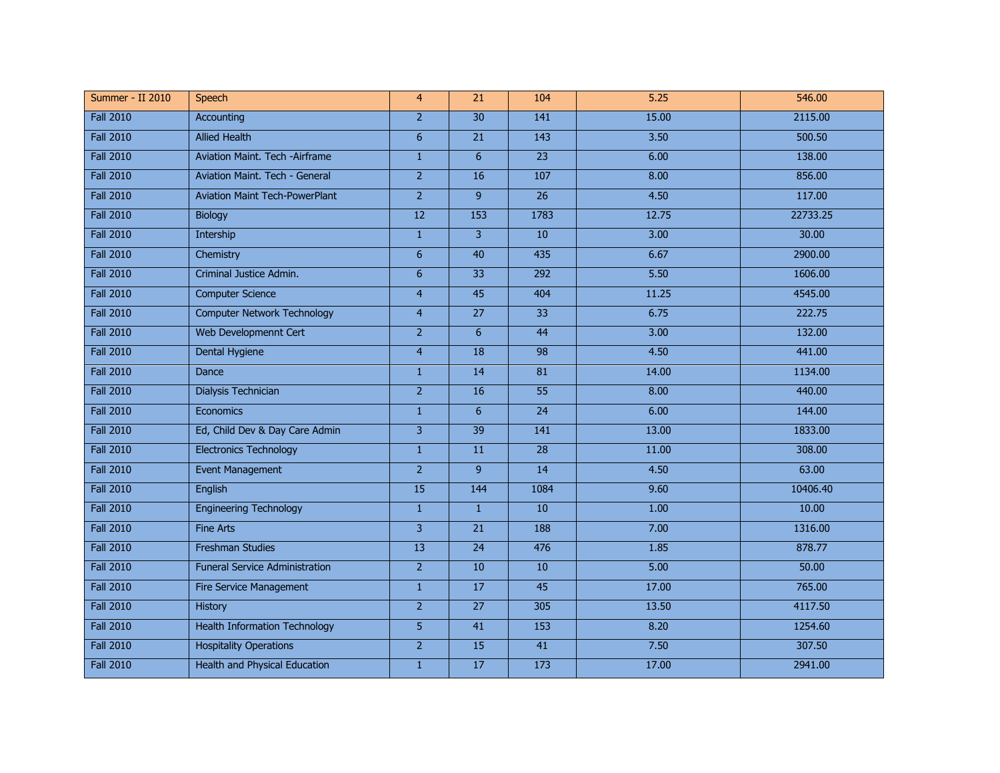| Summer - II 2010 | Speech                                | $\overline{4}$  | $\overline{21}$  | 104             | 5.25  | 546.00   |
|------------------|---------------------------------------|-----------------|------------------|-----------------|-------|----------|
| <b>Fall 2010</b> | <b>Accounting</b>                     | $\overline{2}$  | 30               | 141             | 15.00 | 2115.00  |
| <b>Fall 2010</b> | <b>Allied Health</b>                  | 6               | 21               | 143             | 3.50  | 500.50   |
| <b>Fall 2010</b> | Aviation Maint. Tech -Airframe        | $\mathbf{1}$    | $6\overline{6}$  | $\overline{23}$ | 6.00  | 138.00   |
| <b>Fall 2010</b> | Aviation Maint. Tech - General        | $\overline{2}$  | 16               | 107             | 8.00  | 856.00   |
| <b>Fall 2010</b> | <b>Aviation Maint Tech-PowerPlant</b> | $\overline{2}$  | 9                | $\overline{26}$ | 4.50  | 117.00   |
| <b>Fall 2010</b> | Biology                               | $\overline{12}$ | $\overline{153}$ | 1783            | 12.75 | 22733.25 |
| <b>Fall 2010</b> | Intership                             | $\mathbf{1}$    | 3                | 10              | 3.00  | 30.00    |
| <b>Fall 2010</b> | Chemistry                             | 6               | 40               | 435             | 6.67  | 2900.00  |
| <b>Fall 2010</b> | Criminal Justice Admin.               | $6\overline{6}$ | $\overline{33}$  | 292             | 5.50  | 1606.00  |
| <b>Fall 2010</b> | <b>Computer Science</b>               | $\overline{4}$  | 45               | 404             | 11.25 | 4545.00  |
| <b>Fall 2010</b> | <b>Computer Network Technology</b>    | $\overline{4}$  | $\overline{27}$  | $\overline{33}$ | 6.75  | 222.75   |
| <b>Fall 2010</b> | Web Developmennt Cert                 | $\overline{2}$  | 6                | 44              | 3.00  | 132.00   |
| <b>Fall 2010</b> | <b>Dental Hygiene</b>                 | $\overline{4}$  | $\overline{18}$  | 98              | 4.50  | 441.00   |
| <b>Fall 2010</b> | Dance                                 | $\mathbf{1}$    | 14               | 81              | 14.00 | 1134.00  |
| <b>Fall 2010</b> | Dialysis Technician                   | $\overline{2}$  | 16               | $\overline{55}$ | 8.00  | 440.00   |
| <b>Fall 2010</b> | Economics                             | $\mathbf{1}$    | 6                | 24              | 6.00  | 144.00   |
| <b>Fall 2010</b> | Ed, Child Dev & Day Care Admin        | 3               | 39               | 141             | 13.00 | 1833.00  |
| <b>Fall 2010</b> | <b>Electronics Technology</b>         | $\mathbf{1}$    | 11               | 28              | 11.00 | 308.00   |
| <b>Fall 2010</b> | <b>Event Management</b>               | $\overline{2}$  | 9                | 14              | 4.50  | 63.00    |
| <b>Fall 2010</b> | English                               | 15              | 144              | 1084            | 9.60  | 10406.40 |
| <b>Fall 2010</b> | <b>Engineering Technology</b>         | $\mathbf{1}$    | $\mathbf{1}$     | 10              | 1.00  | 10.00    |
| <b>Fall 2010</b> | <b>Fine Arts</b>                      | $\overline{3}$  | 21               | 188             | 7.00  | 1316.00  |
| <b>Fall 2010</b> | <b>Freshman Studies</b>               | $\overline{13}$ | 24               | 476             | 1.85  | 878.77   |
| <b>Fall 2010</b> | <b>Funeral Service Administration</b> | 2 <sup>1</sup>  | 10               | 10              | 5.00  | 50.00    |
| <b>Fall 2010</b> | Fire Service Management               | $\mathbf{1}$    | 17               | 45              | 17.00 | 765.00   |
| <b>Fall 2010</b> | History                               | 2 <sup>1</sup>  | 27               | 305             | 13.50 | 4117.50  |
| <b>Fall 2010</b> | <b>Health Information Technology</b>  | $\overline{5}$  | $\overline{41}$  | 153             | 8.20  | 1254.60  |
| <b>Fall 2010</b> | <b>Hospitality Operations</b>         | $\overline{2}$  | 15               | 41              | 7.50  | 307.50   |
| <b>Fall 2010</b> | <b>Health and Physical Education</b>  | $\mathbf{1}$    | 17               | 173             | 17.00 | 2941.00  |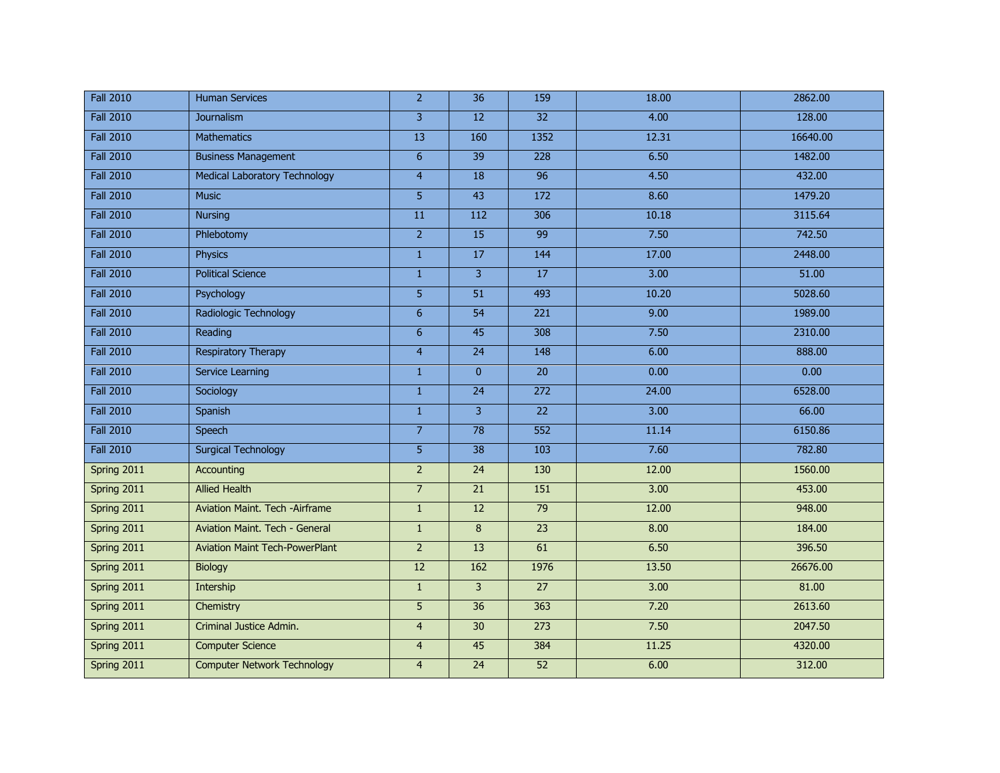| <b>Fall 2010</b> | <b>Human Services</b>                 | $\overline{2}$  | $\overline{36}$ | 159             | 18.00 | 2862.00  |
|------------------|---------------------------------------|-----------------|-----------------|-----------------|-------|----------|
| <b>Fall 2010</b> | Journalism                            | 3               | 12              | $\overline{32}$ | 4.00  | 128.00   |
| <b>Fall 2010</b> | <b>Mathematics</b>                    | 13              | 160             | 1352            | 12.31 | 16640.00 |
| <b>Fall 2010</b> | <b>Business Management</b>            | $6\phantom{a}$  | $\overline{39}$ | 228             | 6.50  | 1482.00  |
| <b>Fall 2010</b> | Medical Laboratory Technology         | $\overline{4}$  | 18              | $\overline{96}$ | 4.50  | 432.00   |
| <b>Fall 2010</b> | <b>Music</b>                          | $\overline{5}$  | 43              | 172             | 8.60  | 1479.20  |
| <b>Fall 2010</b> | <b>Nursing</b>                        | 11              | 112             | 306             | 10.18 | 3115.64  |
| <b>Fall 2010</b> | Phlebotomy                            | $\overline{2}$  | 15              | 99              | 7.50  | 742.50   |
| <b>Fall 2010</b> | <b>Physics</b>                        | $\mathbf{1}$    | 17              | 144             | 17.00 | 2448.00  |
| <b>Fall 2010</b> | <b>Political Science</b>              | $\mathbf{1}$    | 3               | $\overline{17}$ | 3.00  | 51.00    |
| <b>Fall 2010</b> | Psychology                            | 5               | 51              | 493             | 10.20 | 5028.60  |
| <b>Fall 2010</b> | Radiologic Technology                 | $6\phantom{a}$  | $\overline{54}$ | 221             | 9.00  | 1989.00  |
| <b>Fall 2010</b> | Reading                               | 6               | 45              | 308             | 7.50  | 2310.00  |
| <b>Fall 2010</b> | <b>Respiratory Therapy</b>            | $\overline{4}$  | $\overline{24}$ | 148             | 6.00  | 888.00   |
| <b>Fall 2010</b> | Service Learning                      | $\mathbf{1}$    | $\overline{0}$  | 20              | 0.00  | 0.00     |
| <b>Fall 2010</b> | Sociology                             | $\mathbf{1}$    | $\overline{24}$ | 272             | 24.00 | 6528.00  |
| <b>Fall 2010</b> | Spanish                               | $\mathbf{1}$    | $\overline{3}$  | 22              | 3.00  | 66.00    |
| <b>Fall 2010</b> | <b>Speech</b>                         | $\overline{7}$  | 78              | 552             | 11.14 | 6150.86  |
| <b>Fall 2010</b> | <b>Surgical Technology</b>            | 5               | 38              | 103             | 7.60  | 782.80   |
| Spring 2011      | Accounting                            | $\overline{2}$  | 24              | 130             | 12.00 | 1560.00  |
| Spring 2011      | <b>Allied Health</b>                  | $\overline{7}$  | 21              | 151             | 3.00  | 453.00   |
| Spring 2011      | Aviation Maint. Tech -Airframe        | $\mathbf{1}$    | 12              | 79              | 12.00 | 948.00   |
| Spring 2011      | Aviation Maint. Tech - General        | $\mathbf{1}$    | 8               | 23              | 8.00  | 184.00   |
| Spring 2011      | <b>Aviation Maint Tech-PowerPlant</b> | $\overline{2}$  | 13              | 61              | 6.50  | 396.50   |
| Spring 2011      | Biology                               | $\overline{12}$ | 162             | 1976            | 13.50 | 26676.00 |
| Spring 2011      | Intership                             | $\mathbf{1}$    | 3               | $\overline{27}$ | 3.00  | 81.00    |
| Spring 2011      | Chemistry                             | 5               | 36              | 363             | 7.20  | 2613.60  |
| Spring 2011      | Criminal Justice Admin.               | $\overline{4}$  | 30              | 273             | 7.50  | 2047.50  |
| Spring 2011      | <b>Computer Science</b>               | $\overline{4}$  | 45              | 384             | 11.25 | 4320.00  |
| Spring 2011      | <b>Computer Network Technology</b>    | $\overline{4}$  | 24              | 52              | 6.00  | 312.00   |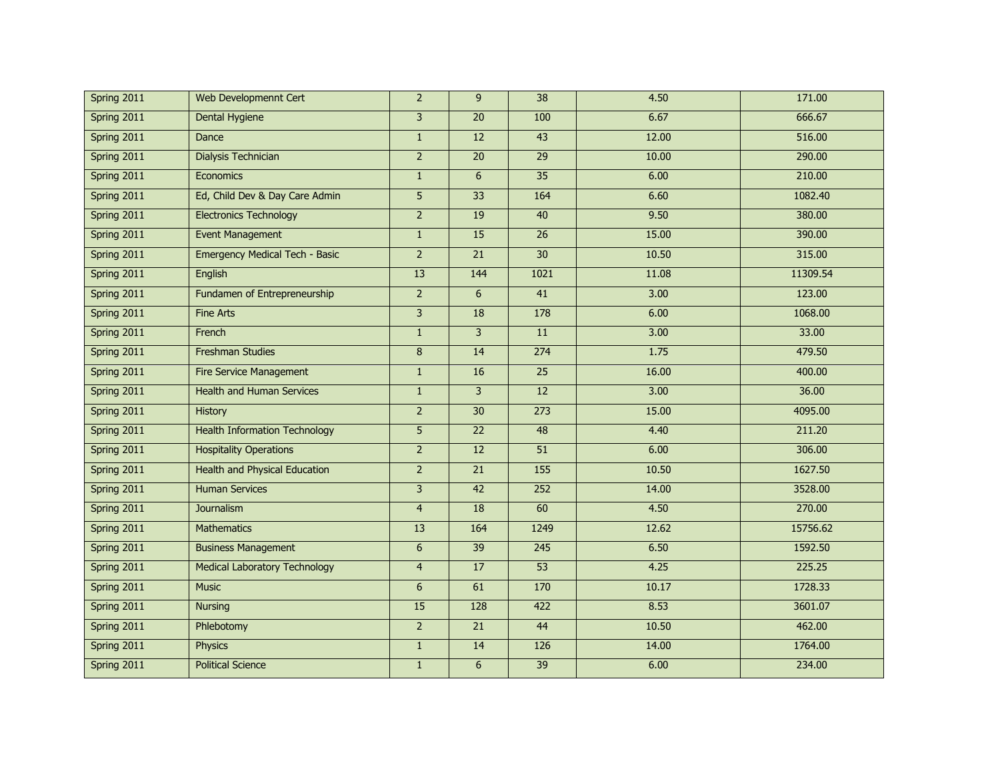| Spring 2011 | Web Developmennt Cert                | $\overline{2}$ | $\mathbf{q}$    | $\overline{38}$ | 4.50  | 171.00   |
|-------------|--------------------------------------|----------------|-----------------|-----------------|-------|----------|
| Spring 2011 | <b>Dental Hygiene</b>                | $\overline{3}$ | $\overline{20}$ | 100             | 6.67  | 666.67   |
| Spring 2011 | Dance                                | $\mathbf{1}$   | 12              | 43              | 12.00 | 516.00   |
| Spring 2011 | Dialysis Technician                  | $\overline{2}$ | $\overline{20}$ | 29              | 10.00 | 290.00   |
| Spring 2011 | Economics                            | $\mathbf{1}$   | 6               | 35              | 6.00  | 210.00   |
| Spring 2011 | Ed, Child Dev & Day Care Admin       | $\overline{5}$ | $\overline{33}$ | 164             | 6.60  | 1082.40  |
| Spring 2011 | <b>Electronics Technology</b>        | $\overline{2}$ | 19              | 40              | 9.50  | 380.00   |
| Spring 2011 | <b>Event Management</b>              | $1\,$          | 15              | $\overline{26}$ | 15.00 | 390.00   |
| Spring 2011 | Emergency Medical Tech - Basic       | $\overline{2}$ | 21              | 30              | 10.50 | 315.00   |
| Spring 2011 | English                              | 13             | 144             | 1021            | 11.08 | 11309.54 |
| Spring 2011 | Fundamen of Entrepreneurship         | $2^{\circ}$    | 6               | 41              | 3.00  | 123.00   |
| Spring 2011 | <b>Fine Arts</b>                     | $\overline{3}$ | 18              | 178             | 6.00  | 1068.00  |
| Spring 2011 | French                               | $\mathbf{1}$   | 3               | 11              | 3.00  | 33.00    |
| Spring 2011 | <b>Freshman Studies</b>              | $\bf 8$        | 14              | 274             | 1.75  | 479.50   |
| Spring 2011 | <b>Fire Service Management</b>       | $\mathbf{1}$   | 16              | 25              | 16.00 | 400.00   |
| Spring 2011 | <b>Health and Human Services</b>     | $1\,$          | $\overline{3}$  | $\overline{12}$ | 3.00  | 36.00    |
| Spring 2011 | <b>History</b>                       | $\overline{2}$ | 30              | 273             | 15.00 | 4095.00  |
| Spring 2011 | <b>Health Information Technology</b> | 5              | $\overline{22}$ | 48              | 4.40  | 211.20   |
| Spring 2011 | <b>Hospitality Operations</b>        | $2^{\circ}$    | 12              | 51              | 6.00  | 306.00   |
| Spring 2011 | <b>Health and Physical Education</b> | $\overline{2}$ | $\overline{21}$ | 155             | 10.50 | 1627.50  |
| Spring 2011 | <b>Human Services</b>                | $\overline{3}$ | 42              | 252             | 14.00 | 3528.00  |
| Spring 2011 | Journalism                           | $\overline{4}$ | 18              | 60              | 4.50  | 270.00   |
| Spring 2011 | <b>Mathematics</b>                   | 13             | 164             | 1249            | 12.62 | 15756.62 |
| Spring 2011 | <b>Business Management</b>           | $\overline{6}$ | 39              | 245             | 6.50  | 1592.50  |
| Spring 2011 | <b>Medical Laboratory Technology</b> | $\overline{4}$ | 17              | $\overline{53}$ | 4.25  | 225.25   |
| Spring 2011 | <b>Music</b>                         | $6\phantom{1}$ | 61              | 170             | 10.17 | 1728.33  |
| Spring 2011 | <b>Nursing</b>                       | 15             | 128             | 422             | 8.53  | 3601.07  |
| Spring 2011 | Phlebotomy                           | $\overline{2}$ | 21              | 44              | 10.50 | 462.00   |
| Spring 2011 | <b>Physics</b>                       | $\mathbf{1}$   | 14              | 126             | 14.00 | 1764.00  |
| Spring 2011 | <b>Political Science</b>             | $\mathbf{1}$   | 6               | 39              | 6.00  | 234.00   |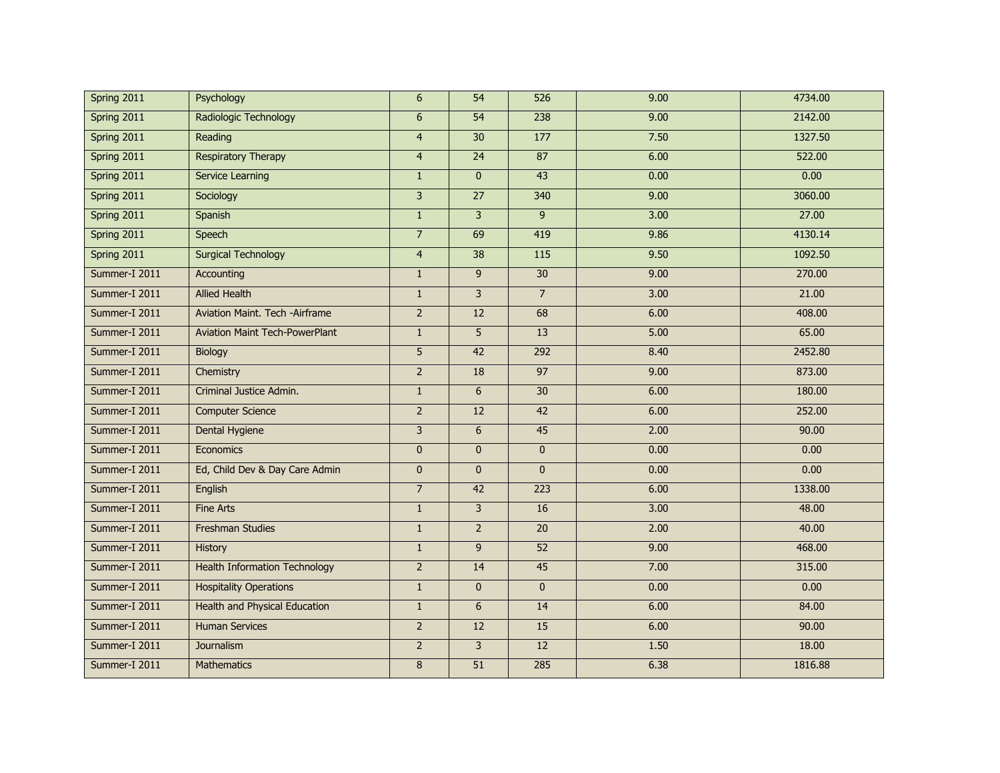| Spring 2011   | Psychology                            | 6              | 54              | 526             | 9.00 | 4734.00 |
|---------------|---------------------------------------|----------------|-----------------|-----------------|------|---------|
| Spring 2011   | Radiologic Technology                 | 6              | 54              | 238             | 9.00 | 2142.00 |
| Spring 2011   | Reading                               | $\overline{4}$ | 30              | 177             | 7.50 | 1327.50 |
| Spring 2011   | <b>Respiratory Therapy</b>            | $\overline{4}$ | 24              | 87              | 6.00 | 522.00  |
| Spring 2011   | Service Learning                      | $\mathbf{1}$   | $\mathbf{0}$    | 43              | 0.00 | 0.00    |
| Spring 2011   | Sociology                             | $\overline{3}$ | $\overline{27}$ | 340             | 9.00 | 3060.00 |
| Spring 2011   | Spanish                               | $\mathbf{1}$   | $\overline{3}$  | 9               | 3.00 | 27.00   |
| Spring 2011   | Speech                                | $\overline{7}$ | 69              | 419             | 9.86 | 4130.14 |
| Spring 2011   | <b>Surgical Technology</b>            | $\overline{4}$ | 38              | $\frac{115}{2}$ | 9.50 | 1092.50 |
| Summer-I 2011 | <b>Accounting</b>                     | $\mathbf{1}$   | 9               | 30              | 9.00 | 270.00  |
| Summer-I 2011 | <b>Allied Health</b>                  | $\mathbf{1}$   | 3               | $\overline{7}$  | 3.00 | 21.00   |
| Summer-I 2011 | Aviation Maint. Tech -Airframe        | $\overline{2}$ | 12              | 68              | 6.00 | 408.00  |
| Summer-I 2011 | <b>Aviation Maint Tech-PowerPlant</b> | $\mathbf{1}$   | 5               | 13              | 5.00 | 65.00   |
| Summer-I 2011 | Biology                               | 5              | 42              | 292             | 8.40 | 2452.80 |
| Summer-I 2011 | Chemistry                             | $\overline{2}$ | 18              | 97              | 9.00 | 873.00  |
| Summer-I 2011 | Criminal Justice Admin.               | $1\,$          | 6               | $\overline{30}$ | 6.00 | 180.00  |
| Summer-I 2011 | <b>Computer Science</b>               | $\overline{2}$ | 12              | 42              | 6.00 | 252.00  |
| Summer-I 2011 | Dental Hygiene                        | 3              | 6               | 45              | 2.00 | 90.00   |
| Summer-I 2011 | Economics                             | $\mathbf{0}$   | $\mathbf{0}$    | $\mathbf{0}$    | 0.00 | 0.00    |
| Summer-I 2011 | Ed, Child Dev & Day Care Admin        | $\bf{0}$       | $\overline{0}$  | $\mathbf{0}$    | 0.00 | 0.00    |
| Summer-I 2011 | English                               | $\overline{7}$ | 42              | 223             | 6.00 | 1338.00 |
| Summer-I 2011 | <b>Fine Arts</b>                      | $\mathbf{1}$   | 3               | 16              | 3.00 | 48.00   |
| Summer-I 2011 | <b>Freshman Studies</b>               | $\mathbf{1}$   | $\overline{2}$  | 20              | 2.00 | 40.00   |
| Summer-I 2011 | History                               | $\mathbf{1}$   | 9               | 52              | 9.00 | 468.00  |
| Summer-I 2011 | <b>Health Information Technology</b>  | $2^{\circ}$    | 14              | 45              | 7.00 | 315.00  |
| Summer-I 2011 | <b>Hospitality Operations</b>         | $\mathbf{1}$   | $\mathbf{0}$    | $\mathbf{0}$    | 0.00 | 0.00    |
| Summer-I 2011 | <b>Health and Physical Education</b>  | $\mathbf{1}$   | 6               | 14              | 6.00 | 84.00   |
| Summer-I 2011 | <b>Human Services</b>                 | $\overline{2}$ | 12              | 15              | 6.00 | 90.00   |
| Summer-I 2011 | Journalism                            | $\overline{2}$ | $\overline{3}$  | 12              | 1.50 | 18.00   |
| Summer-I 2011 | <b>Mathematics</b>                    | 8              | $\overline{51}$ | 285             | 6.38 | 1816.88 |